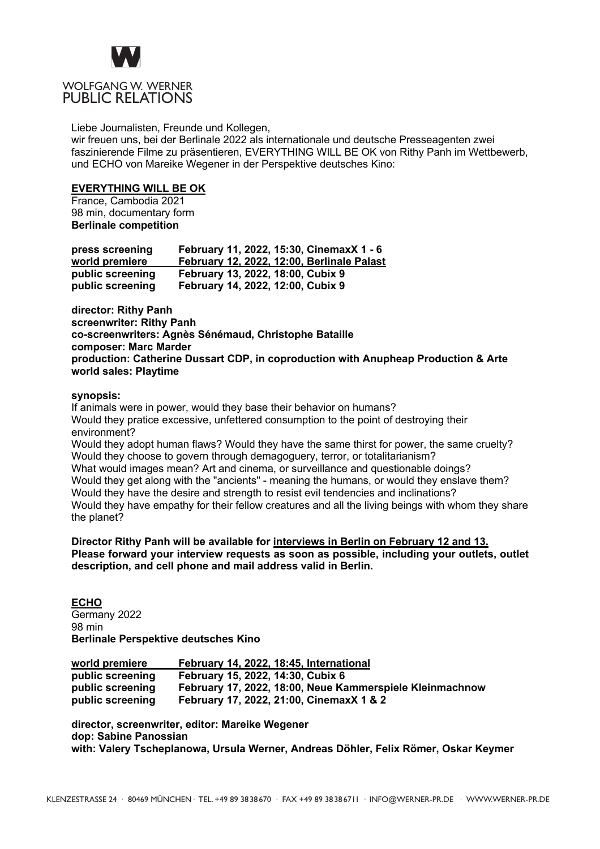

## WOLFGANG W. WERNER PUBLIC RELATIONS

Liebe Journalisten, Freunde und Kollegen,

wir freuen uns, bei der Berlinale 2022 als internationale und deutsche Presseagenten zwei faszinierende Filme zu präsentieren, EVERYTHING WILL BE OK von Rithy Panh im Wettbewerb, und ECHO von Mareike Wegener in der Perspektive deutsches Kino:

## **EVERYTHING WILL BE OK**

France, Cambodia 2021 98 min, documentary form **Berlinale competition**

| press screening  | February 11, 2022, 15:30, CinemaxX 1 - 6   |
|------------------|--------------------------------------------|
| world premiere   | February 12, 2022, 12:00, Berlinale Palast |
| public screening | February 13, 2022, 18:00, Cubix 9          |
| public screening | February 14, 2022, 12:00, Cubix 9          |

**director: Rithy Panh screenwriter: Rithy Panh co-screenwriters: Agnès Sénémaud, Christophe Bataille composer: Marc Marder production: Catherine Dussart CDP, in coproduction with Anupheap Production & Arte world sales: Playtime**

## **synopsis:**

If animals were in power, would they base their behavior on humans? Would they pratice excessive, unfettered consumption to the point of destroying their environment? Would they adopt human flaws? Would they have the same thirst for power, the same cruelty? Would they choose to govern through demagoguery, terror, or totalitarianism? What would images mean? Art and cinema, or surveillance and questionable doings? Would they get along with the "ancients" - meaning the humans, or would they enslave them? Would they have the desire and strength to resist evil tendencies and inclinations? Would they have empathy for their fellow creatures and all the living beings with whom they share the planet?

## **Director Rithy Panh will be available for interviews in Berlin on February 12 and 13. Please forward your interview requests as soon as possible, including your outlets, outlet description, and cell phone and mail address valid in Berlin.**

**ECHO** Germany 2022 98 min **Berlinale Perspektive deutsches Kino**

| world premiere   | February 14, 2022, 18:45, International                  |
|------------------|----------------------------------------------------------|
| public screening | February 15, 2022, 14:30, Cubix 6                        |
| public screening | February 17, 2022, 18:00, Neue Kammerspiele Kleinmachnow |
| public screening | February 17, 2022, 21:00, CinemaxX 1 & 2                 |

**director, screenwriter, editor: Mareike Wegener dop: Sabine Panossian with: Valery Tscheplanowa, Ursula Werner, Andreas Döhler, Felix Römer, Oskar Keymer**